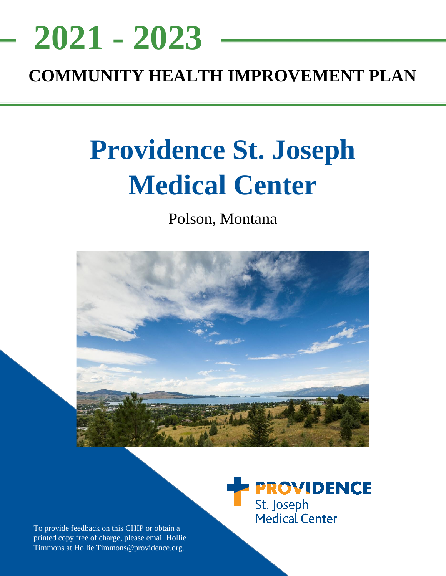# <u>NEEDS ASSESSMENT ASSESSMENT ASSESS</u> **COMMUNITY HEALTH IMPROVEMENT PLAN 2021 - 2023**

# **Providence St. Joseph Medical Center**

Polson, Montana



**PROVIDENCE** St. Joseph Medical Center

To provide feedback on this CHIP or obtain a printed copy free of charge, please email Hollie Timmons at Hollie.Timmons@providence.org.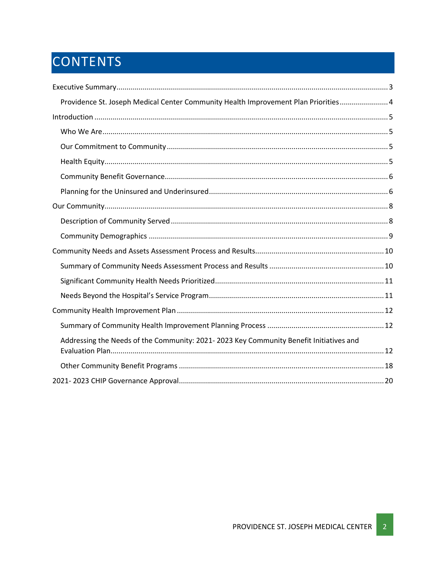# CONTENTS

| Providence St. Joseph Medical Center Community Health Improvement Plan Priorities 4    |
|----------------------------------------------------------------------------------------|
|                                                                                        |
|                                                                                        |
|                                                                                        |
|                                                                                        |
|                                                                                        |
|                                                                                        |
|                                                                                        |
|                                                                                        |
|                                                                                        |
|                                                                                        |
|                                                                                        |
|                                                                                        |
|                                                                                        |
|                                                                                        |
|                                                                                        |
| Addressing the Needs of the Community: 2021-2023 Key Community Benefit Initiatives and |
|                                                                                        |
|                                                                                        |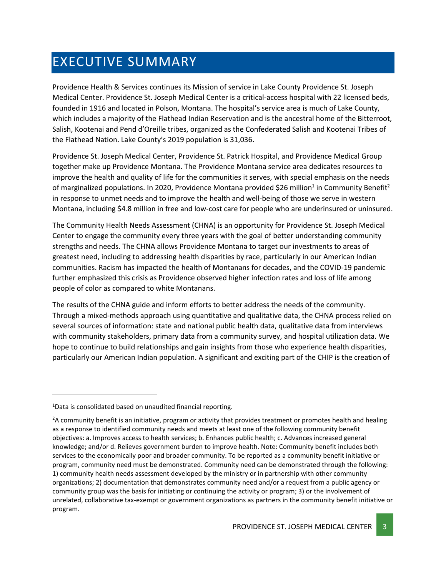# <span id="page-2-0"></span>EXECUTIVE SUMMARY

Providence Health & Services continues its Mission of service in Lake County Providence St. Joseph Medical Center. Providence St. Joseph Medical Center is a critical-access hospital with 22 licensed beds, founded in 1916 and located in Polson, Montana. The hospital's service area is much of Lake County, which includes a majority of the Flathead Indian Reservation and is the ancestral home of the Bitterroot, Salish, Kootenai and Pend d'Oreille tribes, organized as the Confederated Salish and Kootenai Tribes of the Flathead Nation. Lake County's 2019 population is 31,036.

Providence St. Joseph Medical Center, Providence St. Patrick Hospital, and Providence Medical Group together make up Providence Montana. The Providence Montana service area dedicates resources to improve the health and quality of life for the communities it serves, with special emphasis on the needs of marginalized populations. In 2020, Providence Montana provided \$26 million<sup>1</sup> in Community Benefit<sup>2</sup> in response to unmet needs and to improve the health and well-being of those we serve in western Montana, including \$4.8 million in free and low-cost care for people who are underinsured or uninsured.

The Community Health Needs Assessment (CHNA) is an opportunity for Providence St. Joseph Medical Center to engage the community every three years with the goal of better understanding community strengths and needs. The CHNA allows Providence Montana to target our investments to areas of greatest need, including to addressing health disparities by race, particularly in our American Indian communities. Racism has impacted the health of Montanans for decades, and the COVID-19 pandemic further emphasized this crisis as Providence observed higher infection rates and loss of life among people of color as compared to white Montanans.

The results of the CHNA guide and inform efforts to better address the needs of the community. Through a mixed-methods approach using quantitative and qualitative data, the CHNA process relied on several sources of information: state and national public health data, qualitative data from interviews with community stakeholders, primary data from a community survey, and hospital utilization data. We hope to continue to build relationships and gain insights from those who experience health disparities, particularly our American Indian population. A significant and exciting part of the CHIP is the creation of

 $1$ Data is consolidated based on unaudited financial reporting.

<sup>&</sup>lt;sup>2</sup>A community benefit is an initiative, program or activity that provides treatment or promotes health and healing as a response to identified community needs and meets at least one of the following community benefit objectives: a. Improves access to health services; b. Enhances public health; c. Advances increased general knowledge; and/or d. Relieves government burden to improve health. Note: Community benefit includes both services to the economically poor and broader community. To be reported as a community benefit initiative or program, community need must be demonstrated. Community need can be demonstrated through the following: 1) community health needs assessment developed by the ministry or in partnership with other community organizations; 2) documentation that demonstrates community need and/or a request from a public agency or community group was the basis for initiating or continuing the activity or program; 3) or the involvement of unrelated, collaborative tax-exempt or government organizations as partners in the community benefit initiative or program.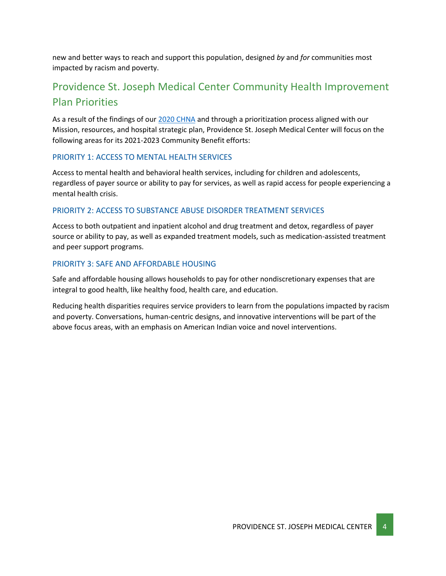new and better ways to reach and support this population, designed *by* and *for* communities most impacted by racism and poverty.

### <span id="page-3-0"></span>Providence St. Joseph Medical Center Community Health Improvement Plan Priorities

As a result of the findings of our [2020 CHNA](https://www.providence.org/about/annual-report/chna-and-chip-reports) and through a prioritization process aligned with our Mission, resources, and hospital strategic plan, Providence St. Joseph Medical Center will focus on the following areas for its 2021-2023 Community Benefit efforts:

### PRIORITY 1: ACCESS TO MENTAL HEALTH SERVICES

Access to mental health and behavioral health services, including for children and adolescents, regardless of payer source or ability to pay for services, as well as rapid access for people experiencing a mental health crisis.

### PRIORITY 2: ACCESS TO SUBSTANCE ABUSE DISORDER TREATMENT SERVICES

Access to both outpatient and inpatient alcohol and drug treatment and detox, regardless of payer source or ability to pay, as well as expanded treatment models, such as medication-assisted treatment and peer support programs.

### PRIORITY 3: SAFE AND AFFORDABLE HOUSING

Safe and affordable housing allows households to pay for other nondiscretionary expenses that are integral to good health, like healthy food, health care, and education.

Reducing health disparities requires service providers to learn from the populations impacted by racism and poverty. Conversations, human-centric designs, and innovative interventions will be part of the above focus areas, with an emphasis on American Indian voice and novel interventions.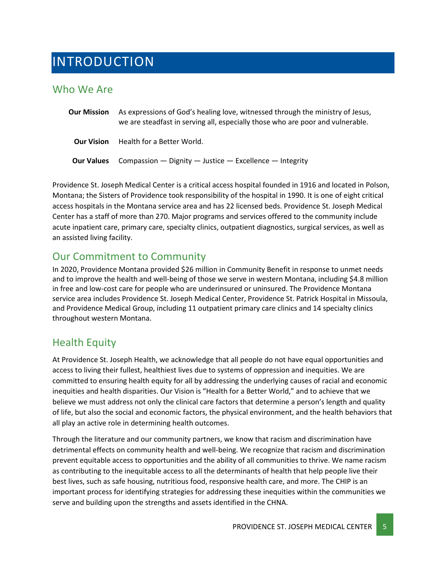# <span id="page-4-0"></span>INTRODUCTION

### <span id="page-4-1"></span>Who We Are

**Our Mission** As expressions of God's healing love, witnessed through the ministry of Jesus, we are steadfast in serving all, especially those who are poor and vulnerable. **Our Vision** Health for a Better World. **Our Values** Compassion — Dignity — Justice — Excellence — Integrity

Providence St. Joseph Medical Center is a critical access hospital founded in 1916 and located in Polson, Montana; the Sisters of Providence took responsibility of the hospital in 1990. It is one of eight critical access hospitals in the Montana service area and has 22 licensed beds. Providence St. Joseph Medical Center has a staff of more than 270. Major programs and services offered to the community include acute inpatient care, primary care, specialty clinics, outpatient diagnostics, surgical services, as well as an assisted living facility.

### <span id="page-4-2"></span>Our Commitment to Community

In 2020, Providence Montana provided \$26 million in Community Benefit in response to unmet needs and to improve the health and well-being of those we serve in western Montana, including \$4.8 million in free and low-cost care for people who are underinsured or uninsured. The Providence Montana service area includes Providence St. Joseph Medical Center, Providence St. Patrick Hospital in Missoula, and Providence Medical Group, including 11 outpatient primary care clinics and 14 specialty clinics throughout western Montana.

### <span id="page-4-3"></span>Health Equity

At Providence St. Joseph Health, we acknowledge that all people do not have equal opportunities and access to living their fullest, healthiest lives due to systems of oppression and inequities. We are committed to ensuring health equity for all by addressing the underlying causes of racial and economic inequities and health disparities. Our Vision is "Health for a Better World," and to achieve that we believe we must address not only the clinical care factors that determine a person's length and quality of life, but also the social and economic factors, the physical environment, and the health behaviors that all play an active role in determining health outcomes.

Through the literature and our community partners, we know that racism and discrimination have detrimental effects on community health and well-being. We recognize that racism and discrimination prevent equitable access to opportunities and the ability of all communities to thrive. We name racism as contributing to the inequitable access to all the determinants of health that help people live their best lives, such as safe housing, nutritious food, responsive health care, and more. The CHIP is an important process for identifying strategies for addressing these inequities within the communities we serve and building upon the strengths and assets identified in the CHNA.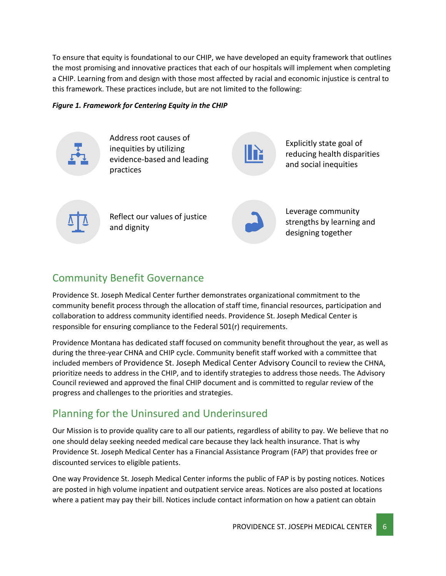To ensure that equity is foundational to our CHIP, we have developed an equity framework that outlines the most promising and innovative practices that each of our hospitals will implement when completing a CHIP. Learning from and design with those most affected by racial and economic injustice is central to this framework. These practices include, but are not limited to the following:

### *Figure 1. Framework for Centering Equity in the CHIP*



Address root causes of inequities by utilizing evidence-based and leading practices



Explicitly state goal of reducing health disparities and social inequities



Reflect our values of justice and dignity



Leverage community strengths by learning and designing together

### <span id="page-5-0"></span>Community Benefit Governance

Providence St. Joseph Medical Center further demonstrates organizational commitment to the community benefit process through the allocation of staff time, financial resources, participation and collaboration to address community identified needs. Providence St. Joseph Medical Center is responsible for ensuring compliance to the Federal 501(r) requirements.

Providence Montana has dedicated staff focused on community benefit throughout the year, as well as during the three-year CHNA and CHIP cycle. Community benefit staff worked with a committee that included members of Providence St. Joseph Medical Center Advisory Council to review the CHNA, prioritize needs to address in the CHIP, and to identify strategies to address those needs. The Advisory Council reviewed and approved the final CHIP document and is committed to regular review of the progress and challenges to the priorities and strategies.

### <span id="page-5-1"></span>Planning for the Uninsured and Underinsured

Our Mission is to provide quality care to all our patients, regardless of ability to pay. We believe that no one should delay seeking needed medical care because they lack health insurance. That is why Providence St. Joseph Medical Center has a Financial Assistance Program (FAP) that provides free or discounted services to eligible patients.

One way Providence St. Joseph Medical Center informs the public of FAP is by posting notices. Notices are posted in high volume inpatient and outpatient service areas. Notices are also posted at locations where a patient may pay their bill. Notices include contact information on how a patient can obtain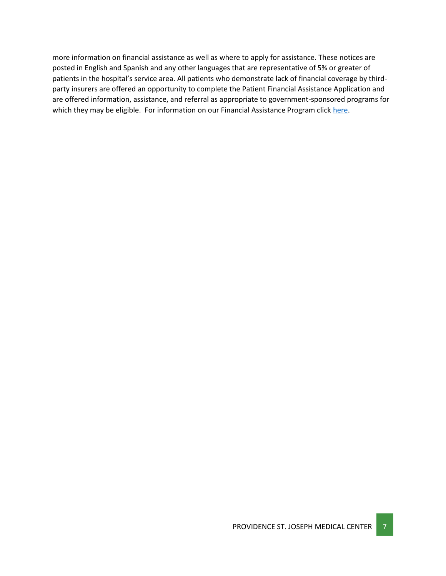more information on financial assistance as well as where to apply for assistance. These notices are posted in English and Spanish and any other languages that are representative of 5% or greater of patients in the hospital's service area. All patients who demonstrate lack of financial coverage by thirdparty insurers are offered an opportunity to complete the Patient Financial Assistance Application and are offered information, assistance, and referral as appropriate to government-sponsored programs for which they may be eligible. For information on our Financial Assistance Program click [here.](https://www.providence.org/obp/mt/financial-assistance-application)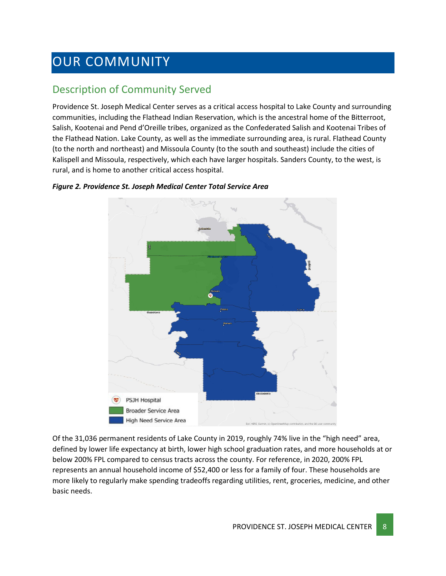# <span id="page-7-0"></span>OUR COMMUNITY

### <span id="page-7-1"></span>Description of Community Served

Providence St. Joseph Medical Center serves as a critical access hospital to Lake County and surrounding communities, including the Flathead Indian Reservation, which is the ancestral home of the Bitterroot, Salish, Kootenai and Pend d'Oreille tribes, organized as the Confederated Salish and Kootenai Tribes of the Flathead Nation. Lake County, as well as the immediate surrounding area, is rural. Flathead County (to the north and northeast) and Missoula County (to the south and southeast) include the cities of Kalispell and Missoula, respectively, which each have larger hospitals. Sanders County, to the west, is rural, and is home to another critical access hospital.



### *Figure 2. Providence St. Joseph Medical Center Total Service Area*

Of the 31,036 permanent residents of Lake County in 2019, roughly 74% live in the "high need" area, defined by lower life expectancy at birth, lower high school graduation rates, and more households at or below 200% FPL compared to census tracts across the county. For reference, in 2020, 200% FPL represents an annual household income of \$52,400 or less for a family of four. These households are more likely to regularly make spending tradeoffs regarding utilities, rent, groceries, medicine, and other basic needs.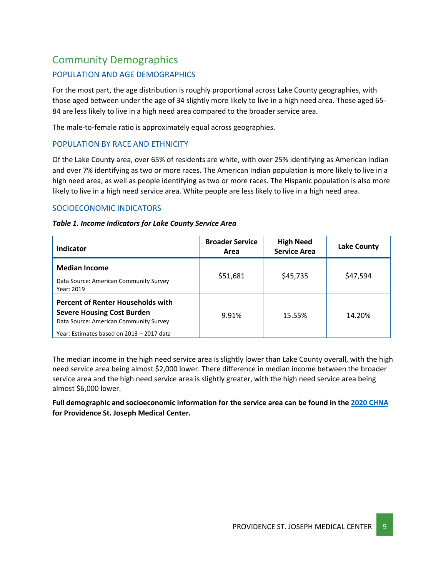### <span id="page-8-0"></span>Community Demographics

### POPULATION AND AGE DEMOGRAPHICS

For the most part, the age distribution is roughly proportional across Lake County geographies, with those aged between under the age of 34 slightly more likely to live in a high need area. Those aged 65- 84 are less likely to live in a high need area compared to the broader service area.

The male-to-female ratio is approximately equal across geographies.

### POPULATION BY RACE AND ETHNICITY

Of the Lake County area, over 65% of residents are white, with over 25% identifying as American Indian and over 7% identifying as two or more races. The American Indian population is more likely to live in a high need area, as well as people identifying as two or more races. The Hispanic population is also more likely to live in a high need service area. White people are less likely to live in a high need area.

### SOCIOECONOMIC INDICATORS

### *Table 1. Income Indicators for Lake County Service Area*

| Indicator                                                                                                                                                            | <b>Broader Service</b><br>Area | <b>High Need</b><br><b>Service Area</b> | <b>Lake County</b> |
|----------------------------------------------------------------------------------------------------------------------------------------------------------------------|--------------------------------|-----------------------------------------|--------------------|
| <b>Median Income</b><br>Data Source: American Community Survey<br>Year: 2019                                                                                         | \$51,681                       | \$45,735                                | \$47,594           |
| <b>Percent of Renter Households with</b><br><b>Severe Housing Cost Burden</b><br>Data Source: American Community Survey<br>Year: Estimates based on 2013 - 2017 data | 9.91%                          | 15.55%                                  | 14.20%             |

The median income in the high need service area is slightly lower than Lake County overall, with the high need service area being almost \$2,000 lower. There difference in median income between the broader service area and the high need service area is slightly greater, with the high need service area being almost \$6,000 lower.

**Full demographic and socioeconomic information for the service area can be found in the [2020 CHNA](https://www.providence.org/about/annual-report/chna-and-chip-reports) for Providence St. Joseph Medical Center.**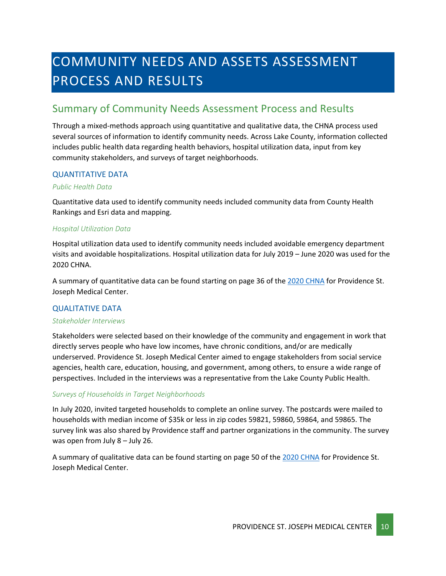# <span id="page-9-0"></span>COMMUNITY NEEDS AND ASSETS ASSESSMENT PROCESS AND RESULTS

### <span id="page-9-1"></span>Summary of Community Needs Assessment Process and Results

Through a mixed-methods approach using quantitative and qualitative data, the CHNA process used several sources of information to identify community needs. Across Lake County, information collected includes public health data regarding health behaviors, hospital utilization data, input from key community stakeholders, and surveys of target neighborhoods.

### QUANTITATIVE DATA

### *Public Health Data*

Quantitative data used to identify community needs included community data from County Health Rankings and Esri data and mapping.

### *Hospital Utilization Data*

Hospital utilization data used to identify community needs included avoidable emergency department visits and avoidable hospitalizations. Hospital utilization data for July 2019 – June 2020 was used for the 2020 CHNA.

A summary of quantitative data can be found starting on page 36 of th[e 2020 CHNA](https://www.providence.org/about/annual-report/chna-and-chip-reports) for Providence St. Joseph Medical Center.

### QUALITATIVE DATA

#### *Stakeholder Interviews*

Stakeholders were selected based on their knowledge of the community and engagement in work that directly serves people who have low incomes, have chronic conditions, and/or are medically underserved. Providence St. Joseph Medical Center aimed to engage stakeholders from social service agencies, health care, education, housing, and government, among others, to ensure a wide range of perspectives. Included in the interviews was a representative from the Lake County Public Health.

### *Surveys of Households in Target Neighborhoods*

In July 2020, invited targeted households to complete an online survey. The postcards were mailed to households with median income of \$35k or less in zip codes 59821, 59860, 59864, and 59865. The survey link was also shared by Providence staff and partner organizations in the community. The survey was open from July 8 – July 26.

A summary of qualitative data can be found starting on page 50 of the [2020 CHNA](https://www.providence.org/about/annual-report/chna-and-chip-reports) for Providence St. Joseph Medical Center.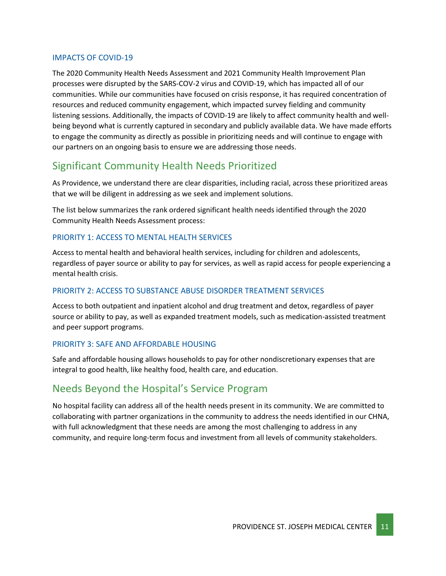### IMPACTS OF COVID-19

The 2020 Community Health Needs Assessment and 2021 Community Health Improvement Plan processes were disrupted by the SARS-COV-2 virus and COVID-19, which has impacted all of our communities. While our communities have focused on crisis response, it has required concentration of resources and reduced community engagement, which impacted survey fielding and community listening sessions. Additionally, the impacts of COVID-19 are likely to affect community health and wellbeing beyond what is currently captured in secondary and publicly available data. We have made efforts to engage the community as directly as possible in prioritizing needs and will continue to engage with our partners on an ongoing basis to ensure we are addressing those needs.

### <span id="page-10-0"></span>Significant Community Health Needs Prioritized

As Providence, we understand there are clear disparities, including racial, across these prioritized areas that we will be diligent in addressing as we seek and implement solutions.

The list below summarizes the rank ordered significant health needs identified through the 2020 Community Health Needs Assessment process:

### PRIORITY 1: ACCESS TO MENTAL HEALTH SERVICES

Access to mental health and behavioral health services, including for children and adolescents, regardless of payer source or ability to pay for services, as well as rapid access for people experiencing a mental health crisis.

### PRIORITY 2: ACCESS TO SUBSTANCE ABUSE DISORDER TREATMENT SERVICES

Access to both outpatient and inpatient alcohol and drug treatment and detox, regardless of payer source or ability to pay, as well as expanded treatment models, such as medication-assisted treatment and peer support programs.

### PRIORITY 3: SAFE AND AFFORDABLE HOUSING

Safe and affordable housing allows households to pay for other nondiscretionary expenses that are integral to good health, like healthy food, health care, and education.

### <span id="page-10-1"></span>Needs Beyond the Hospital's Service Program

No hospital facility can address all of the health needs present in its community. We are committed to collaborating with partner organizations in the community to address the needs identified in our CHNA, with full acknowledgment that these needs are among the most challenging to address in any community, and require long-term focus and investment from all levels of community stakeholders.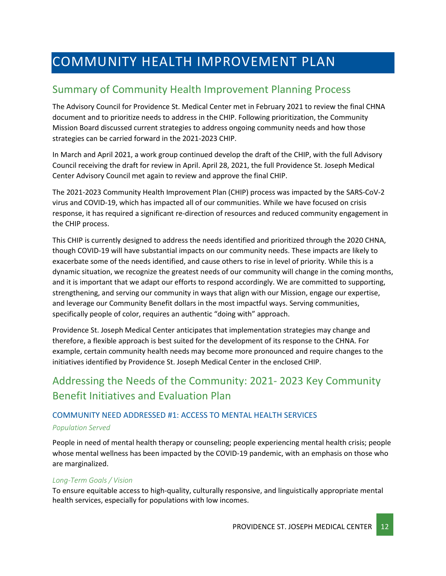# <span id="page-11-0"></span>COMMUNITY HEALTH IMPROVEMENT PLAN

### <span id="page-11-1"></span>Summary of Community Health Improvement Planning Process

The Advisory Council for Providence St. Medical Center met in February 2021 to review the final CHNA document and to prioritize needs to address in the CHIP. Following prioritization, the Community Mission Board discussed current strategies to address ongoing community needs and how those strategies can be carried forward in the 2021-2023 CHIP.

In March and April 2021, a work group continued develop the draft of the CHIP, with the full Advisory Council receiving the draft for review in April. April 28, 2021, the full Providence St. Joseph Medical Center Advisory Council met again to review and approve the final CHIP.

The 2021-2023 Community Health Improvement Plan (CHIP) process was impacted by the SARS-CoV-2 virus and COVID-19, which has impacted all of our communities. While we have focused on crisis response, it has required a significant re-direction of resources and reduced community engagement in the CHIP process.

This CHIP is currently designed to address the needs identified and prioritized through the 2020 CHNA, though COVID-19 will have substantial impacts on our community needs. These impacts are likely to exacerbate some of the needs identified, and cause others to rise in level of priority. While this is a dynamic situation, we recognize the greatest needs of our community will change in the coming months, and it is important that we adapt our efforts to respond accordingly. We are committed to supporting, strengthening, and serving our community in ways that align with our Mission, engage our expertise, and leverage our Community Benefit dollars in the most impactful ways. Serving communities, specifically people of color, requires an authentic "doing with" approach.

Providence St. Joseph Medical Center anticipates that implementation strategies may change and therefore, a flexible approach is best suited for the development of its response to the CHNA. For example, certain community health needs may become more pronounced and require changes to the initiatives identified by Providence St. Joseph Medical Center in the enclosed CHIP.

### <span id="page-11-2"></span>Addressing the Needs of the Community: 2021- 2023 Key Community Benefit Initiatives and Evaluation Plan

### COMMUNITY NEED ADDRESSED #1: ACCESS TO MENTAL HEALTH SERVICES

### *Population Served*

People in need of mental health therapy or counseling; people experiencing mental health crisis; people whose mental wellness has been impacted by the COVID-19 pandemic, with an emphasis on those who are marginalized.

### *Long-Term Goals / Vision*

To ensure equitable access to high-quality, culturally responsive, and linguistically appropriate mental health services, especially for populations with low incomes.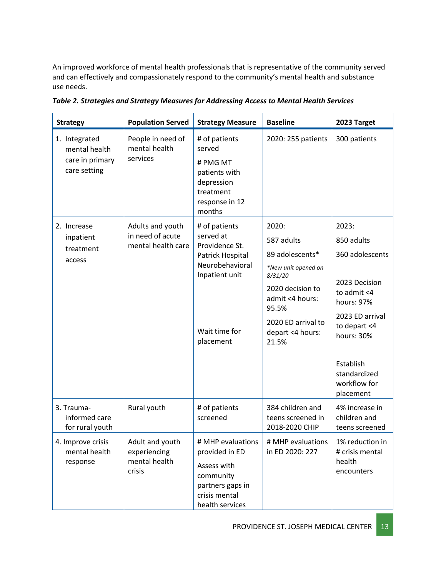An improved workforce of mental health professionals that is representative of the community served and can effectively and compassionately respond to the community's mental health and substance use needs.

| <b>Strategy</b>                                                   | <b>Population Served</b>                                   | <b>Strategy Measure</b>                                                                                                             | <b>Baseline</b>                                                                                                                                                             | 2023 Target                                                                                                                                                                                     |
|-------------------------------------------------------------------|------------------------------------------------------------|-------------------------------------------------------------------------------------------------------------------------------------|-----------------------------------------------------------------------------------------------------------------------------------------------------------------------------|-------------------------------------------------------------------------------------------------------------------------------------------------------------------------------------------------|
| 1. Integrated<br>mental health<br>care in primary<br>care setting | People in need of<br>mental health<br>services             | # of patients<br>served<br># PMG MT<br>patients with<br>depression<br>treatment<br>response in 12<br>months                         | 2020: 255 patients                                                                                                                                                          | 300 patients                                                                                                                                                                                    |
| 2. Increase<br>inpatient<br>treatment<br>access                   | Adults and youth<br>in need of acute<br>mental health care | # of patients<br>served at<br>Providence St.<br>Patrick Hospital<br>Neurobehavioral<br>Inpatient unit<br>Wait time for<br>placement | 2020:<br>587 adults<br>89 adolescents*<br>*New unit opened on<br>8/31/20<br>2020 decision to<br>admit <4 hours:<br>95.5%<br>2020 ED arrival to<br>depart <4 hours:<br>21.5% | 2023:<br>850 adults<br>360 adolescents<br>2023 Decision<br>to admit <4<br>hours: 97%<br>2023 ED arrival<br>to depart <4<br>hours: 30%<br>Establish<br>standardized<br>workflow for<br>placement |
| 3. Trauma-<br>informed care<br>for rural youth                    | Rural youth                                                | # of patients<br>screened                                                                                                           | 384 children and<br>teens screened in<br>2018-2020 CHIP                                                                                                                     | 4% increase in<br>children and<br>teens screened                                                                                                                                                |
| 4. Improve crisis<br>mental health<br>response                    | Adult and youth<br>experiencing<br>mental health<br>crisis | # MHP evaluations<br>provided in ED<br>Assess with<br>community<br>partners gaps in<br>crisis mental<br>health services             | # MHP evaluations<br>in ED 2020: 227                                                                                                                                        | 1% reduction in<br># crisis mental<br>health<br>encounters                                                                                                                                      |

*Table 2. Strategies and Strategy Measures for Addressing Access to Mental Health Services*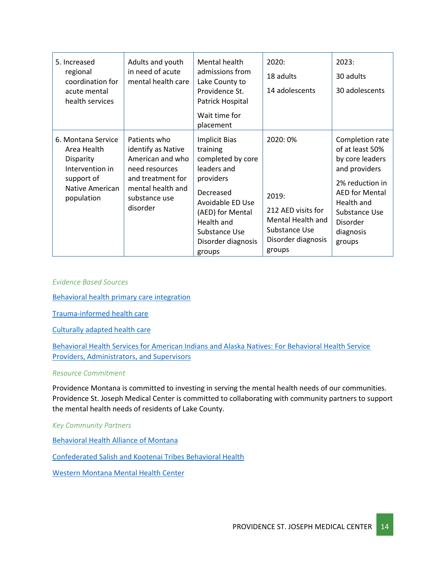| 5. Increased<br>regional<br>coordination for<br>acute mental<br>health services                                  | Adults and youth<br>in need of acute<br>mental health care                                                                                      | Mental health<br>admissions from<br>Lake County to<br>Providence St.<br>Patrick Hospital<br>Wait time for<br>placement                                                                                | 2020:<br>18 adults<br>14 adolescents                                                                          | 2023:<br>30 adults<br>30 adolescents                                                                                                                                                 |
|------------------------------------------------------------------------------------------------------------------|-------------------------------------------------------------------------------------------------------------------------------------------------|-------------------------------------------------------------------------------------------------------------------------------------------------------------------------------------------------------|---------------------------------------------------------------------------------------------------------------|--------------------------------------------------------------------------------------------------------------------------------------------------------------------------------------|
| 6. Montana Service<br>Area Health<br>Disparity<br>Intervention in<br>support of<br>Native American<br>population | Patients who<br>identify as Native<br>American and who<br>need resources<br>and treatment for<br>mental health and<br>substance use<br>disorder | <b>Implicit Bias</b><br>training<br>completed by core<br>leaders and<br>providers<br>Decreased<br>Avoidable ED Use<br>(AED) for Mental<br>Health and<br>Substance Use<br>Disorder diagnosis<br>groups | 2020: 0%<br>2019:<br>212 AED visits for<br>Mental Health and<br>Substance Use<br>Disorder diagnosis<br>groups | Completion rate<br>of at least 50%<br>by core leaders<br>and providers<br>2% reduction in<br><b>AED for Mental</b><br>Health and<br>Substance Use<br>Disorder<br>diagnosis<br>groups |

*Evidence Based Sources*

[Behavioral health primary care integration](https://www.countyhealthrankings.org/take-action-to-improve-health/what-works-for-health/strategies/behavioral-health-primary-care-integration)

[Trauma-informed health care](https://www.countyhealthrankings.org/take-action-to-improve-health/what-works-for-health/strategies/trauma-informed-health-care)

[Culturally adapted health care](https://www.countyhealthrankings.org/take-action-to-improve-health/what-works-for-health/strategies/culturally-adapted-health-care)

[Behavioral Health Services for American Indians and Alaska Natives: For Behavioral Health Service](https://www.ncbi.nlm.nih.gov/books/NBK539586/)  [Providers, Administrators, and Supervisors](https://www.ncbi.nlm.nih.gov/books/NBK539586/)

#### *Resource Commitment*

Providence Montana is committed to investing in serving the mental health needs of our communities. Providence St. Joseph Medical Center is committed to collaborating with community partners to support the mental health needs of residents of Lake County.

#### *Key Community Partners*

[Behavioral Health Alliance of Montana](https://montanabehavioralhealth.org/)

[Confederated Salish and Kootenai Tribes Behavioral Health](https://www.cskthealth.org/index.php/services/behavioral-health)

[Western Montana Mental Health Center](https://www.wmmhc.org/)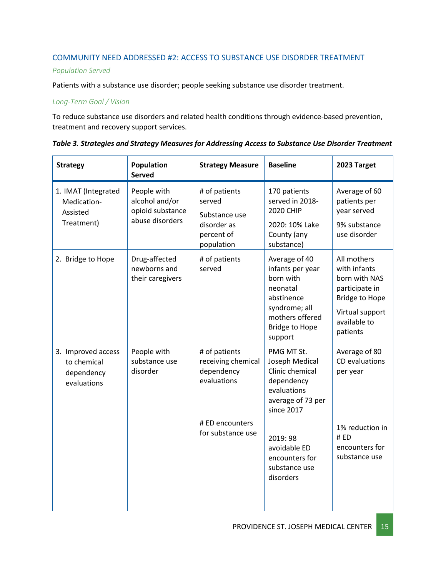### COMMUNITY NEED ADDRESSED #2: ACCESS TO SUBSTANCE USE DISORDER TREATMENT

### *Population Served*

Patients with a substance use disorder; people seeking substance use disorder treatment.

### *Long-Term Goal / Vision*

To reduce substance use disorders and related health conditions through evidence-based prevention, treatment and recovery support services.

| <b>Strategy</b>                                                | Population<br><b>Served</b>                                          | <b>Strategy Measure</b>                                                             | <b>Baseline</b>                                                                                                                                  | 2023 Target                                                                                                                            |
|----------------------------------------------------------------|----------------------------------------------------------------------|-------------------------------------------------------------------------------------|--------------------------------------------------------------------------------------------------------------------------------------------------|----------------------------------------------------------------------------------------------------------------------------------------|
| 1. IMAT (Integrated<br>Medication-<br>Assisted<br>Treatment)   | People with<br>alcohol and/or<br>opioid substance<br>abuse disorders | # of patients<br>served<br>Substance use<br>disorder as<br>percent of<br>population | 170 patients<br>served in 2018-<br><b>2020 CHIP</b><br>2020: 10% Lake<br>County (any<br>substance)                                               | Average of 60<br>patients per<br>year served<br>9% substance<br>use disorder                                                           |
| 2. Bridge to Hope                                              | Drug-affected<br>newborns and<br>their caregivers                    | # of patients<br>served                                                             | Average of 40<br>infants per year<br>born with<br>neonatal<br>abstinence<br>syndrome; all<br>mothers offered<br><b>Bridge to Hope</b><br>support | All mothers<br>with infants<br>born with NAS<br>participate in<br><b>Bridge to Hope</b><br>Virtual support<br>available to<br>patients |
| 3. Improved access<br>to chemical<br>dependency<br>evaluations | People with<br>substance use<br>disorder                             | # of patients<br>receiving chemical<br>dependency<br>evaluations                    | PMG MT St.<br>Joseph Medical<br>Clinic chemical<br>dependency<br>evaluations<br>average of 73 per<br>since 2017                                  | Average of 80<br>CD evaluations<br>per year                                                                                            |
|                                                                |                                                                      | # ED encounters<br>for substance use                                                | 2019:98<br>avoidable ED<br>encounters for<br>substance use<br>disorders                                                                          | 1% reduction in<br>#ED<br>encounters for<br>substance use                                                                              |

|  |  |  | Table 3. Strategies and Strategy Measures for Addressing Access to Substance Use Disorder Treatment |
|--|--|--|-----------------------------------------------------------------------------------------------------|
|--|--|--|-----------------------------------------------------------------------------------------------------|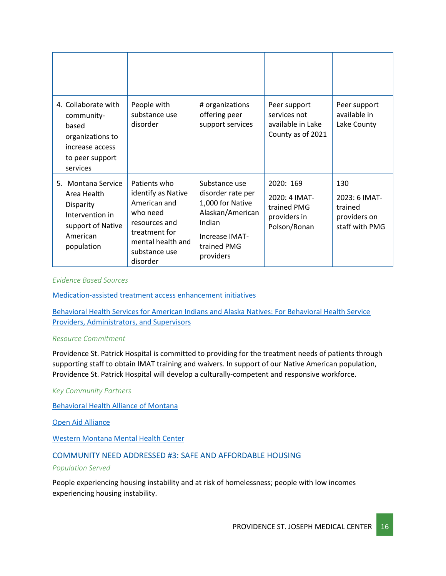| 4. Collaborate with<br>community-<br>based<br>organizations to<br>increase access<br>to peer support<br>services        | People with<br>substance use<br>disorder                                                                                                           | # organizations<br>offering peer<br>support services                                                                               | Peer support<br>services not<br>available in Lake<br>County as of 2021    | Peer support<br>available in<br>Lake County                       |
|-------------------------------------------------------------------------------------------------------------------------|----------------------------------------------------------------------------------------------------------------------------------------------------|------------------------------------------------------------------------------------------------------------------------------------|---------------------------------------------------------------------------|-------------------------------------------------------------------|
| 5. Montana Service<br>Area Health<br><b>Disparity</b><br>Intervention in<br>support of Native<br>American<br>population | Patients who<br>identify as Native<br>American and<br>who need<br>resources and<br>treatment for<br>mental health and<br>substance use<br>disorder | Substance use<br>disorder rate per<br>1,000 for Native<br>Alaskan/American<br>Indian<br>Increase IMAT-<br>trained PMG<br>providers | 2020: 169<br>2020: 4 IMAT-<br>trained PMG<br>providers in<br>Polson/Ronan | 130<br>2023: 6 IMAT-<br>trained<br>providers on<br>staff with PMG |

#### *Evidence Based Sources*

[Medication-assisted treatment access enhancement initiatives](https://www.countyhealthrankings.org/take-action-to-improve-health/what-works-for-health/strategies/medication-assisted-treatment-access-enhancement-initiatives)

[Behavioral Health Services for American Indians and Alaska Natives: For Behavioral Health Service](https://www.ncbi.nlm.nih.gov/books/NBK539586/)  [Providers, Administrators, and Supervisors](https://www.ncbi.nlm.nih.gov/books/NBK539586/)

#### *Resource Commitment*

Providence St. Patrick Hospital is committed to providing for the treatment needs of patients through supporting staff to obtain IMAT training and waivers. In support of our Native American population, Providence St. Patrick Hospital will develop a culturally-competent and responsive workforce.

### *Key Community Partners*

[Behavioral Health Alliance of Montana](https://montanabehavioralhealth.org/)

[Open Aid Alliance](https://www.openaidalliance.org/)

[Western Montana Mental Health Center](https://www.wmmhc.org/)

### COMMUNITY NEED ADDRESSED #3: SAFE AND AFFORDABLE HOUSING

#### *Population Served*

People experiencing housing instability and at risk of homelessness; people with low incomes experiencing housing instability.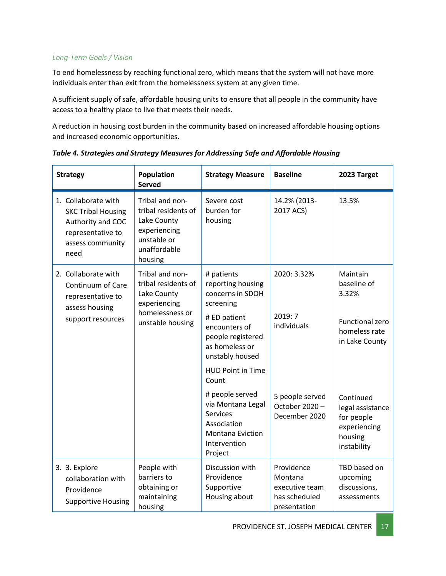### *Long-Term Goals / Vision*

To end homelessness by reaching functional zero, which means that the system will not have more individuals enter than exit from the homelessness system at any given time.

A sufficient supply of safe, affordable housing units to ensure that all people in the community have access to a healthy place to live that meets their needs.

A reduction in housing cost burden in the community based on increased affordable housing options and increased economic opportunities.

| <b>Strategy</b>                                                                                                        | Population<br><b>Served</b>                                                                                     | <b>Strategy Measure</b>                                                                                               | <b>Baseline</b>                                                          | 2023 Target                                                                           |
|------------------------------------------------------------------------------------------------------------------------|-----------------------------------------------------------------------------------------------------------------|-----------------------------------------------------------------------------------------------------------------------|--------------------------------------------------------------------------|---------------------------------------------------------------------------------------|
| 1. Collaborate with<br><b>SKC Tribal Housing</b><br>Authority and COC<br>representative to<br>assess community<br>need | Tribal and non-<br>tribal residents of<br>Lake County<br>experiencing<br>unstable or<br>unaffordable<br>housing | Severe cost<br>burden for<br>housing                                                                                  | 14.2% (2013-<br>2017 ACS)                                                | 13.5%                                                                                 |
| 2. Collaborate with<br>Continuum of Care<br>representative to<br>assess housing                                        | Tribal and non-<br>tribal residents of<br>Lake County<br>experiencing                                           | # patients<br>reporting housing<br>concerns in SDOH<br>screening                                                      | 2020: 3.32%                                                              | Maintain<br>baseline of<br>3.32%                                                      |
| support resources                                                                                                      | homelessness or<br>unstable housing                                                                             | # ED patient<br>encounters of<br>people registered<br>as homeless or<br>unstably housed                               | 2019: 7<br>individuals                                                   | Functional zero<br>homeless rate<br>in Lake County                                    |
|                                                                                                                        |                                                                                                                 | <b>HUD Point in Time</b><br>Count                                                                                     |                                                                          |                                                                                       |
|                                                                                                                        |                                                                                                                 | # people served<br>via Montana Legal<br><b>Services</b><br>Association<br>Montana Eviction<br>Intervention<br>Project | 5 people served<br>October 2020-<br>December 2020                        | Continued<br>legal assistance<br>for people<br>experiencing<br>housing<br>instability |
| 3. 3. Explore<br>collaboration with<br>Providence<br><b>Supportive Housing</b>                                         | People with<br>barriers to<br>obtaining or<br>maintaining<br>housing                                            | Discussion with<br>Providence<br>Supportive<br>Housing about                                                          | Providence<br>Montana<br>executive team<br>has scheduled<br>presentation | TBD based on<br>upcoming<br>discussions,<br>assessments                               |

*Table 4. Strategies and Strategy Measures for Addressing Safe and Affordable Housing*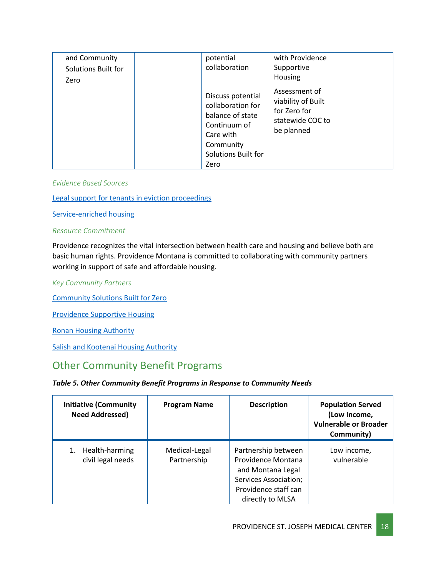| and Community<br>Solutions Built for<br>Zero | potential<br>collaboration                                                                                                          | with Providence<br>Supportive<br>Housing                                              |  |
|----------------------------------------------|-------------------------------------------------------------------------------------------------------------------------------------|---------------------------------------------------------------------------------------|--|
|                                              | Discuss potential<br>collaboration for<br>balance of state<br>Continuum of<br>Care with<br>Community<br>Solutions Built for<br>Zero | Assessment of<br>viability of Built<br>for Zero for<br>statewide COC to<br>be planned |  |

*Evidence Based Sources*

[Legal support for tenants in eviction proceedings](https://www.countyhealthrankings.org/take-action-to-improve-health/what-works-for-health/strategies/legal-support-for-tenants-in-eviction-proceedings)

[Service-enriched housing](https://www.countyhealthrankings.org/take-action-to-improve-health/what-works-for-health/strategies/service-enriched-housing)

#### *Resource Commitment*

Providence recognizes the vital intersection between [health care and housing](https://www.providence.org/lp/housing-is-health) and believe both are basic [human rights.](http://future.psjhealth.org/health-is-a-human-right) Providence Montana is committed to collaborating with community partners working in support of safe and affordable housing.

*Key Community Partners*

[Community Solutions Built for Zero](https://community.solutions/)

[Providence Supportive Housing](https://www.providencesupportivehousing.org/)

[Ronan Housing Authority](https://www.lakecountyhousing.org/)

[Salish and Kootenai Housing Authority](https://skha.org/)

### <span id="page-17-0"></span>Other Community Benefit Programs

### *Table 5. Other Community Benefit Programs in Response to Community Needs*

| <b>Initiative (Community</b><br><b>Need Addressed)</b> | <b>Program Name</b>          | <b>Description</b>                                                                                                                         | <b>Population Served</b><br>(Low Income,<br><b>Vulnerable or Broader</b><br>Community) |
|--------------------------------------------------------|------------------------------|--------------------------------------------------------------------------------------------------------------------------------------------|----------------------------------------------------------------------------------------|
| Health-harming<br>civil legal needs                    | Medical-Legal<br>Partnership | Partnership between<br>Providence Montana<br>and Montana Legal<br><b>Services Association;</b><br>Providence staff can<br>directly to MLSA | Low income,<br>vulnerable                                                              |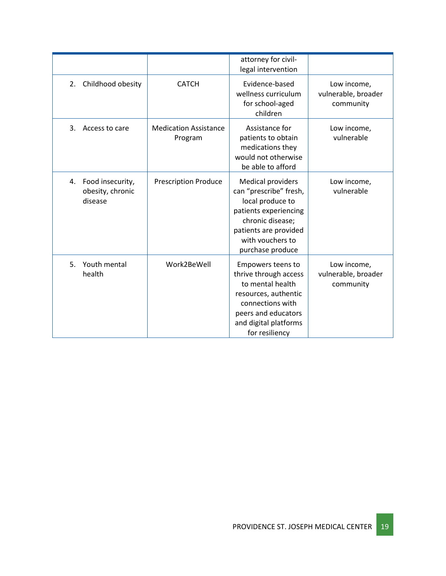|                                                       |                                         | attorney for civil-<br>legal intervention                                                                                                                                            |                                                 |
|-------------------------------------------------------|-----------------------------------------|--------------------------------------------------------------------------------------------------------------------------------------------------------------------------------------|-------------------------------------------------|
| 2. Childhood obesity                                  | <b>CATCH</b>                            | Evidence-based<br>wellness curriculum<br>for school-aged<br>children                                                                                                                 | Low income,<br>vulnerable, broader<br>community |
| 3.<br>Access to care                                  | <b>Medication Assistance</b><br>Program | Assistance for<br>patients to obtain<br>medications they<br>would not otherwise<br>be able to afford                                                                                 | Low income,<br>vulnerable                       |
| Food insecurity,<br>4.<br>obesity, chronic<br>disease | <b>Prescription Produce</b>             | <b>Medical providers</b><br>can "prescribe" fresh,<br>local produce to<br>patients experiencing<br>chronic disease;<br>patients are provided<br>with vouchers to<br>purchase produce | Low income,<br>vulnerable                       |
| Youth mental<br>5.<br>health                          | Work2BeWell                             | Empowers teens to<br>thrive through access<br>to mental health<br>resources, authentic<br>connections with<br>peers and educators<br>and digital platforms<br>for resiliency         | Low income,<br>vulnerable, broader<br>community |